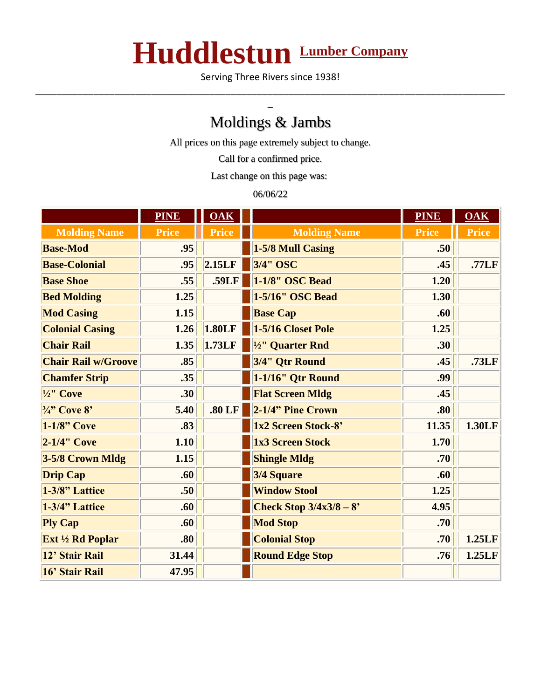## **Huddlestun Lumber Company**

Serving Three Rivers since 1938! \_\_\_\_\_\_\_\_\_\_\_\_\_\_\_\_\_\_\_\_\_\_\_\_\_\_\_\_\_\_\_\_\_\_\_\_\_\_\_\_\_\_\_\_\_\_\_\_\_\_\_\_\_\_\_\_\_\_\_\_\_\_\_\_\_\_\_\_\_\_\_\_\_\_\_\_\_\_\_\_\_\_\_\_\_\_\_\_\_

## Moldings & Jambs

\_

All prices on this page extremely subject to change.

Call for a confirmed price.

Last change on this page was:

06/06/22

|                            | <b>PINE</b>  | $\overline{\textbf{O}}\textbf{A}\textbf{K}$ |                          | <b>PINE</b>  | OAK          |
|----------------------------|--------------|---------------------------------------------|--------------------------|--------------|--------------|
| <b>Molding Name</b>        | <b>Price</b> | <b>Price</b>                                | <b>Molding Name</b>      | <b>Price</b> | <b>Price</b> |
| <b>Base-Mod</b>            | .95          |                                             | 1-5/8 Mull Casing        | .50          |              |
| <b>Base-Colonial</b>       | .95          | 2.15LF                                      | 3/4" OSC                 | .45          | .77LF        |
| <b>Base Shoe</b>           | .55          | .59LF                                       | 1-1/8" OSC Bead          | 1.20         |              |
| <b>Bed Molding</b>         | 1.25         |                                             | 1-5/16" OSC Bead         | 1.30         |              |
| <b>Mod Casing</b>          | 1.15         |                                             | <b>Base Cap</b>          | .60          |              |
| <b>Colonial Casing</b>     | 1.26         | 1.80LF                                      | 1-5/16 Closet Pole       | 1.25         |              |
| <b>Chair Rail</b>          | 1.35         | 1.73LF                                      | 1/2" Quarter Rnd         | .30          |              |
| <b>Chair Rail w/Groove</b> | .85          |                                             | 3/4" Qtr Round           | .45          | .73LF        |
| <b>Chamfer Strip</b>       | .35          |                                             | 1-1/16" Qtr Round        | .99          |              |
| $\frac{1}{2}$ " Cove       | .30          |                                             | <b>Flat Screen Mldg</b>  | .45          |              |
| $\frac{3}{4}$ " Cove 8'    | 5.40         | .80LF                                       | 2-1/4" Pine Crown        | .80          |              |
| $1-1/8$ " Cove             | .83          |                                             | 1x2 Screen Stock-8'      | 11.35        | 1.30LF       |
| $2-1/4$ " Cove             | 1.10         |                                             | 1x3 Screen Stock         | 1.70         |              |
| 3-5/8 Crown Mldg           | 1.15         |                                             | <b>Shingle Mldg</b>      | .70          |              |
| <b>Drip Cap</b>            | .60          |                                             | 3/4 Square               | .60          |              |
| 1-3/8" Lattice             | .50          |                                             | <b>Window Stool</b>      | 1.25         |              |
| 1-3/4" Lattice             | .60          |                                             | Check Stop $3/4x3/8 - 8$ | 4.95         |              |
| <b>Ply Cap</b>             | .60          |                                             | <b>Mod Stop</b>          | .70          |              |
| Ext 1/2 Rd Poplar          | .80          |                                             | <b>Colonial Stop</b>     | .70          | 1.25LF       |
| 12' Stair Rail             | 31.44        |                                             | <b>Round Edge Stop</b>   | .76          | 1.25LF       |
| 16' Stair Rail             | 47.95        |                                             |                          |              |              |